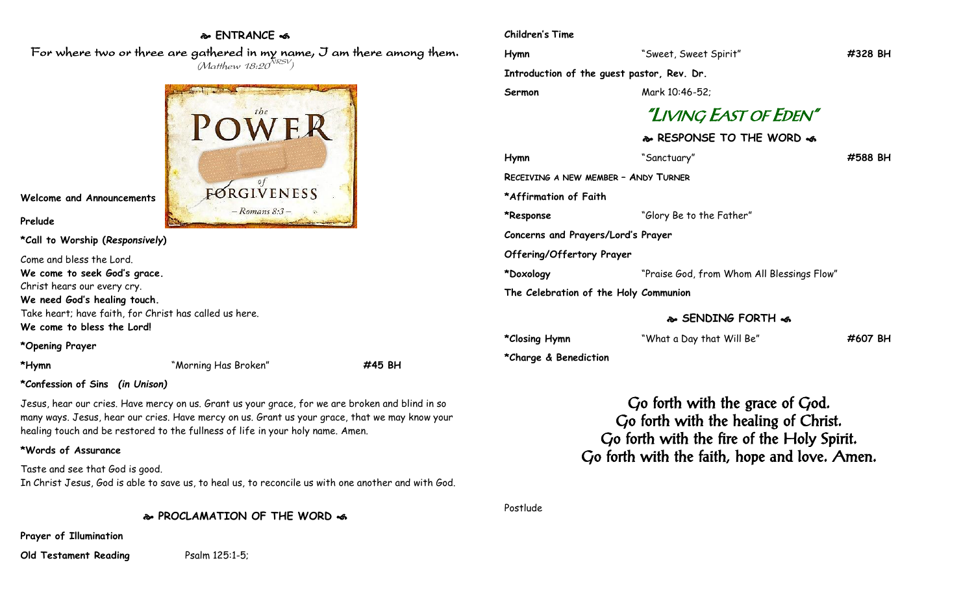# **ENTRANCE**

For where two or three are gathered in my name, I am there among them.  $(M$ atthew 18:20 $^{NRSV})$ 



**Welcome and Announcements**

#### **Prelude**

**\*Call to Worship (***Responsively***)** 

Come and bless the Lord.

**We come to seek God's grace.**

Christ hears our every cry.

**We need God's healing touch.**

Take heart; have faith, for Christ has called us here. **We come to bless the Lord!**

**\*Opening Prayer**

**\*Hymn** "Morning Has Broken" **#45 BH**

## **\*Confession of Sins** *(in Unison)*

Jesus, hear our cries. Have mercy on us. Grant us your grace, for we are broken and blind in so many ways. Jesus, hear our cries. Have mercy on us. Grant us your grace, that we may know your healing touch and be restored to the fullness of life in your holy name. Amen.

### **\*Words of Assurance**

Taste and see that God is good. In Christ Jesus, God is able to save us, to heal us, to reconcile us with one another and with God.

**PROCLAMATION OF THE WORD** 

**Prayer of Illumination**

**Old Testament Reading** Psalm 125:1-5;

#### **Children's Time**

| Children's lime                            |                                            |         |
|--------------------------------------------|--------------------------------------------|---------|
| Hymn                                       | "Sweet, Sweet Spirit"                      | #328 BH |
| Introduction of the guest pastor, Rev. Dr. |                                            |         |
| Sermon                                     | Mark 10:46-52;                             |         |
|                                            | "LIVING EAST OF EDEN"                      |         |
|                                            | & RESPONSE TO THE WORD &                   |         |
| Hymn                                       | "Sanctuary"                                | #588 BH |
| RECEIVING A NEW MEMBER - ANDY TURNER       |                                            |         |
| *Affirmation of Faith                      |                                            |         |
| *Response                                  | "Glory Be to the Father"                   |         |
| Concerns and Prayers/Lord's Prayer         |                                            |         |
| Offering/Offertory Prayer                  |                                            |         |
| *Doxology                                  | "Praise God, from Whom All Blessings Flow" |         |
| The Celebration of the Holy Communion      |                                            |         |

### **SENDING FORTH**

| *Closing Hymn         | "What a Day that Will Be" | #607 BH |
|-----------------------|---------------------------|---------|
| *Charge & Benediction |                           |         |

Go forth with the grace of God. Go forth with the healing of Christ. Go forth with the fire of the Holy Spirit. Go forth with the faith, hope and love. Amen.

Postlude